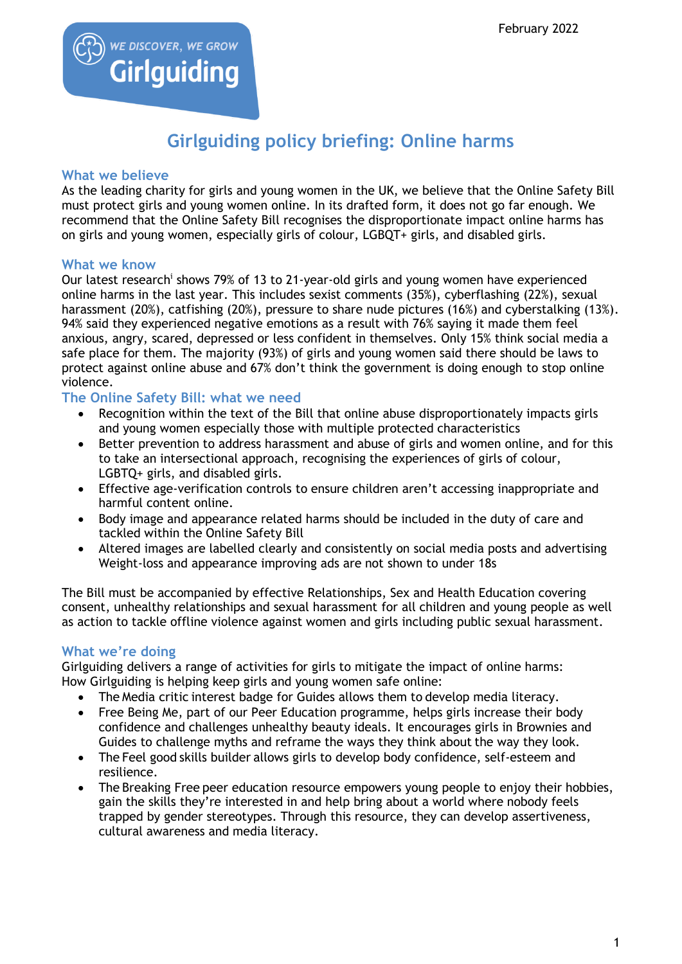

# **Girlguiding policy briefing: Online harms**

### **What we believe**

As the leading charity for girls and young women in the UK, we believe that the Online Safety Bill must protect girls and young women online. In its drafted form, it does not go far enough. We recommend that the Online Safety Bill recognises the disproportionate impact online harms has on girls and young women, especially girls of colour, LGBQT+ girls, and disabled girls.

#### **What we know**

Our latest research<sup>i</sup> shows 79% of 13 to 21-year-old girls and young women have experienced online harms in the last year. This includes sexist comments (35%), cyberflashing (22%), sexual harassment (20%), catfishing (20%), pressure to share nude pictures (16%) and cyberstalking (13%). 94% said they experienced negative emotions as a result with 76% saying it made them feel anxious, angry, scared, depressed or less confident in themselves. Only 15% think social media a safe place for them. The majority (93%) of girls and young women said there should be laws to protect against online abuse and 67% don't think the government is doing enough to stop online violence.

**The Online Safety Bill: what we need**

- Recognition within the text of the Bill that online abuse disproportionately impacts girls and young women especially those with multiple protected characteristics
- Better prevention to address harassment and abuse of girls and women online, and for this to take an intersectional approach, recognising the experiences of girls of colour, LGBTQ+ girls, and disabled girls.
- Effective age-verification controls to ensure children aren't accessing inappropriate and harmful content online.
- Body image and appearance related harms should be included in the duty of care and tackled within the Online Safety Bill
- Altered images are labelled clearly and consistently on social media posts and advertising Weight-loss and appearance improving ads are not shown to under 18s

The Bill must be accompanied by effective Relationships, Sex and Health Education covering consent, unhealthy relationships and sexual harassment for all children and young people as well as action to tackle offline violence against women and girls including public sexual harassment.

## **What we're doing**

Girlguiding delivers a range of activities for girls to mitigate the impact of online harms: How Girlguiding is helping keep girls and young women safe online:

- The Media critic interest badge for Guides allows them to develop media literacy.
- Free Being Me, part of our Peer Education programme, helps girls increase their body confidence and challenges unhealthy beauty ideals. It encourages girls in Brownies and Guides to challenge myths and reframe the ways they think about the way they look.
- The Feel good skills builder allows girls to develop body confidence, self-esteem and resilience.
- The Breaking Free peer education resource empowers young people to enjoy their hobbies, gain the skills they're interested in and help bring about a world where nobody feels trapped by gender stereotypes. Through this resource, they can develop assertiveness, cultural awareness and media literacy.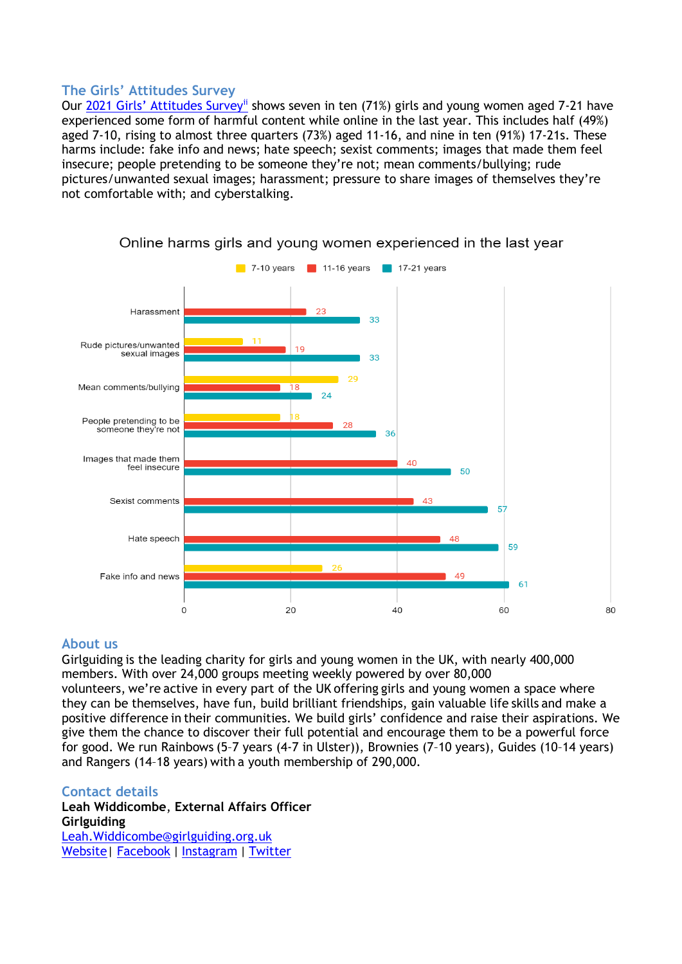## **The Girls' Attitudes Survey**

Our 2021 Girls' Attitudes Survev<sup>ii</sup> shows seven in ten (71%) girls and young women aged 7-21 have experienced some form of harmful content while online in the last year. This includes half (49%) aged 7-10, rising to almost three quarters (73%) aged 11-16, and nine in ten (91%) 17-21s. These harms include: fake info and news; hate speech; sexist comments; images that made them feel insecure; people pretending to be someone they're not; mean comments/bullying; rude pictures/unwanted sexual images; harassment; pressure to share images of themselves they're not comfortable with; and cyberstalking.



Online harms girls and young women experienced in the last year

#### **About us**

Girlguiding is the leading charity for girls and young women in the UK, with nearly 400,000 members. With over 24,000 groups meeting weekly powered by over 80,000 volunteers, we're active in every part of the UK offering girls and young women a space where they can be themselves, have fun, build brilliant friendships, gain valuable life skills and make a positive difference in their communities. We build girls' confidence and raise their aspirations. We give them the chance to discover their full potential and encourage them to be a powerful force for good. We run Rainbows (5–7 years (4-7 in Ulster)), Brownies (7–10 years), Guides (10–14 years) and Rangers (14–18 years) with a youth membership of 290,000.

#### **Contact details**

**Leah Widdicombe**, **External Affairs Officer Girlguiding**  [Leah.Widdicombe@girlguiding.org.uk](mailto:Leah.Widdicombe@girlguiding.org.uk) [Website|](https://girlguidinguk.sharepoint.com/sites/girlguiding/Corporate%20Comms%20and%20External%20Affairs/External%20Affairs/Briefings/Policy%20briefings/girlguiding.org.uk) [Facebook](https://www.facebook.com/girlguidinguk) | [Instagram](https://www.instagram.com/girlguiding/) | [Twitter](https://twitter.com/Girlguiding)